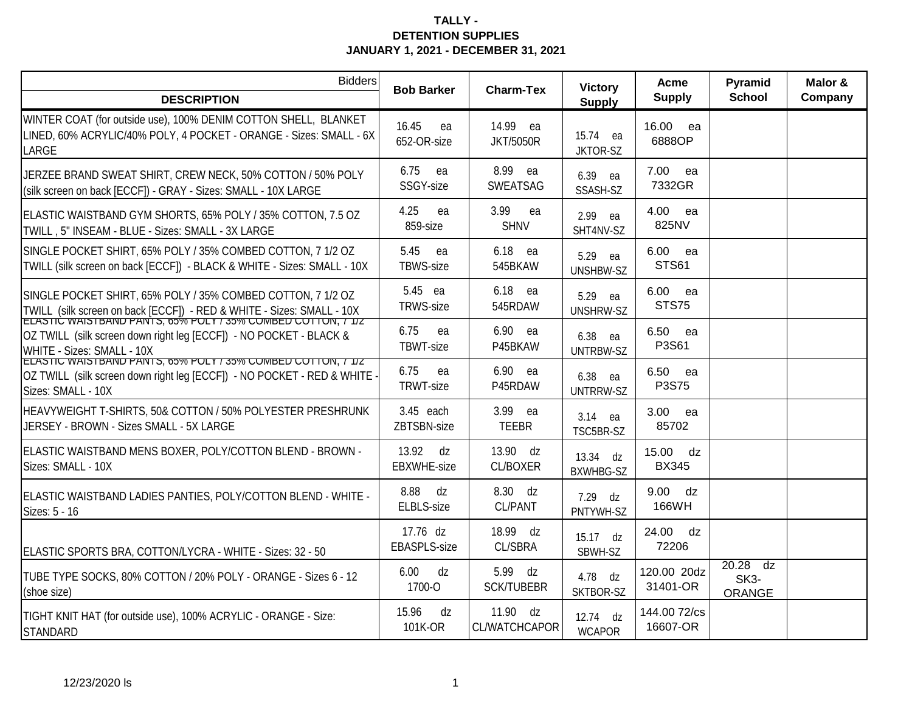| <b>Bidders</b>                                                                                                                                                                                       | <b>Bob Barker</b>                 | <b>Charm-Tex</b>                   | <b>Victory</b>                 | Acme                       | Pyramid                                          | Malor & |
|------------------------------------------------------------------------------------------------------------------------------------------------------------------------------------------------------|-----------------------------------|------------------------------------|--------------------------------|----------------------------|--------------------------------------------------|---------|
| <b>DESCRIPTION</b>                                                                                                                                                                                   |                                   |                                    | <b>Supply</b>                  | <b>Supply</b>              | <b>School</b>                                    | Company |
| WINTER COAT (for outside use), 100% DENIM COTTON SHELL, BLANKET<br>LINED, 60% ACRYLIC/40% POLY, 4 POCKET - ORANGE - Sizes: SMALL - 6X<br>LARGE                                                       | 16.45<br>ea<br>652-OR-size        | 14.99 ea<br><b>JKT/5050R</b>       | 15.74 ea<br>JKTOR-SZ           | 16.00 ea<br>6888OP         |                                                  |         |
| JERZEE BRAND SWEAT SHIRT, CREW NECK, 50% COTTON / 50% POLY<br>(silk screen on back [ECCF]) - GRAY - Sizes: SMALL - 10X LARGE                                                                         | 6.75<br>ea<br>SSGY-size           | 8.99 ea<br>SWEATSAG                | 6.39 ea<br>SSASH-SZ            | 7.00<br>ea<br>7332GR       |                                                  |         |
| ELASTIC WAISTBAND GYM SHORTS, 65% POLY / 35% COTTON, 7.5 OZ<br>TWILL, 5" INSEAM - BLUE - Sizes: SMALL - 3X LARGE                                                                                     | 4.25<br>ea<br>859-size            | 3.99<br>ea<br><b>SHNV</b>          | 2.99<br>ea<br>SHT4NV-SZ        | 4.00<br>ea<br>825NV        |                                                  |         |
| SINGLE POCKET SHIRT, 65% POLY / 35% COMBED COTTON, 7 1/2 OZ<br>TWILL (silk screen on back [ECCF]) - BLACK & WHITE - Sizes: SMALL - 10X                                                               | 5.45<br>ea<br><b>TBWS-size</b>    | 6.18 ea<br>545BKAW                 | 5.29<br>ea<br><b>UNSHBW-SZ</b> | 6.00<br>ea<br><b>STS61</b> |                                                  |         |
| SINGLE POCKET SHIRT, 65% POLY / 35% COMBED COTTON, 7 1/2 OZ<br>TWILL (silk screen on back [ECCF]) - RED & WHITE - Sizes: SMALL - 10X<br>ELASTIC WAISTBAND PANTS, 00% POLY / 30% COMBED COTTON, / 1/2 | 5.45 ea<br><b>TRWS-size</b>       | 6.18 ea<br>545RDAW                 | 5.29<br>ea<br><b>UNSHRW-SZ</b> | 6.00 ea<br><b>STS75</b>    |                                                  |         |
| OZ TWILL (silk screen down right leg [ECCF]) - NO POCKET - BLACK &<br>WHITE - Sizes: SMALL - 10X<br>ELASTIC WAISTBAND PANTS, 65% POLY / 35% COMBED COTTON, / 1/2                                     | 6.75<br>ea<br>TBWT-size           | 6.90 ea<br>P45BKAW                 | 6.38<br>ea<br><b>UNTRBW-SZ</b> | 6.50<br>ea<br>P3S61        |                                                  |         |
| OZ TWILL (silk screen down right leg [ECCF]) - NO POCKET - RED & WHITE<br>Sizes: SMALL - 10X                                                                                                         | 6.75<br>ea<br><b>TRWT-size</b>    | 6.90 ea<br>P45RDAW                 | 6.38<br>ea<br>UNTRRW-SZ        | 6.50 ea<br>P3S75           |                                                  |         |
| HEAVYWEIGHT T-SHIRTS, 50& COTTON / 50% POLYESTER PRESHRUNK<br>JERSEY - BROWN - Sizes SMALL - 5X LARGE                                                                                                | 3.45 each<br>ZBTSBN-size          | 3.99 ea<br><b>TEEBR</b>            | 3.14 ea<br>TSC5BR-SZ           | 3.00<br>ea<br>85702        |                                                  |         |
| ELASTIC WAISTBAND MENS BOXER, POLY/COTTON BLEND - BROWN -<br>Sizes: SMALL - 10X                                                                                                                      | 13.92<br>dz<br><b>EBXWHE-size</b> | 13.90 dz<br><b>CL/BOXER</b>        | 13.34 dz<br><b>BXWHBG-SZ</b>   | 15.00 dz<br><b>BX345</b>   |                                                  |         |
| ELASTIC WAISTBAND LADIES PANTIES, POLY/COTTON BLEND - WHITE -<br>Sizes: 5 - 16                                                                                                                       | 8.88<br>dz<br>ELBLS-size          | 8.30 dz<br><b>CL/PANT</b>          | $7.29$ dz<br>PNTYWH-SZ         | 9.00 dz<br>166WH           |                                                  |         |
| ELASTIC SPORTS BRA, COTTON/LYCRA - WHITE - Sizes: 32 - 50                                                                                                                                            | 17.76 dz<br><b>EBASPLS-size</b>   | 18.99 dz<br><b>CL/SBRA</b>         | 15.17 dz<br>SBWH-SZ            | 24.00<br>dz<br>72206       |                                                  |         |
| TUBE TYPE SOCKS, 80% COTTON / 20% POLY - ORANGE - Sizes 6 - 12<br>(shoe size)                                                                                                                        | 6.00<br>dz<br>1700-O              | 5.99 dz<br><b>SCK/TUBEBR</b>       | 4.78 dz<br>SKTBOR-SZ           | 120.00 20dz<br>31401-OR    | $20.28$ dz<br>SK <sub>3</sub> -<br><b>ORANGE</b> |         |
| TIGHT KNIT HAT (for outside use), 100% ACRYLIC - ORANGE - Size:<br><b>STANDARD</b>                                                                                                                   | 15.96<br>dz<br>101K-OR            | 11.90 $dz$<br><b>CL/WATCHCAPOR</b> | 12.74 dz<br><b>WCAPOR</b>      | 144.00 72/cs<br>16607-OR   |                                                  |         |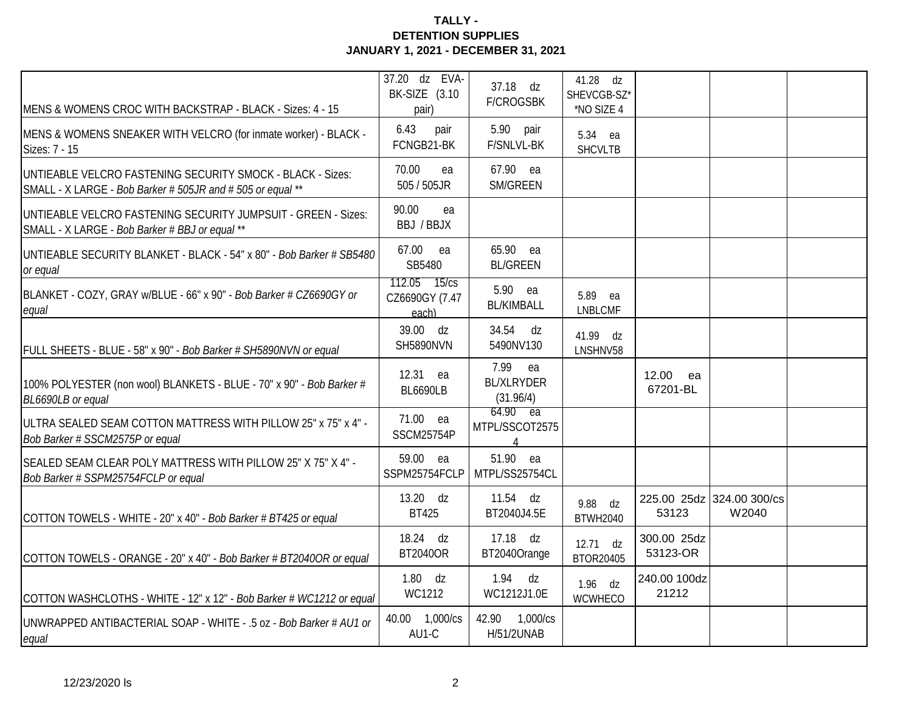| MENS & WOMENS CROC WITH BACKSTRAP - BLACK - Sizes: 4 - 15                                                                | 37.20 dz EVA-<br>BK-SIZE (3.10<br>pair) | 37.18 dz<br><b>F/CROGSBK</b>                              | 41.28 dz<br>SHEVCGB-SZ*<br>*NO SIZE 4 |                         |                                    |  |
|--------------------------------------------------------------------------------------------------------------------------|-----------------------------------------|-----------------------------------------------------------|---------------------------------------|-------------------------|------------------------------------|--|
| MENS & WOMENS SNEAKER WITH VELCRO (for inmate worker) - BLACK -<br>Sizes: 7 - 15                                         | 6.43<br>pair<br>FCNGB21-BK              | 5.90 pair<br>F/SNLVL-BK                                   | 5.34 ea<br><b>SHCVLTB</b>             |                         |                                    |  |
| UNTIEABLE VELCRO FASTENING SECURITY SMOCK - BLACK - Sizes:<br>SMALL - X LARGE - Bob Barker # 505JR and # 505 or equal ** | 70.00<br>ea<br>505 / 505JR              | 67.90 ea<br>SM/GREEN                                      |                                       |                         |                                    |  |
| UNTIEABLE VELCRO FASTENING SECURITY JUMPSUIT - GREEN - Sizes:<br>SMALL - X LARGE - Bob Barker # BBJ or equal **          | 90.00<br>ea<br>BBJ / BBJX               |                                                           |                                       |                         |                                    |  |
| UNTIEABLE SECURITY BLANKET - BLACK - 54" x 80" - Bob Barker # SB5480<br>or equal                                         | 67.00 ea<br>SB5480                      | 65.90 ea<br><b>BL/GREEN</b>                               |                                       |                         |                                    |  |
| BLANKET - COZY, GRAY w/BLUE - 66" x 90" - Bob Barker # CZ6690GY or<br>equal                                              | 112.05 15/cs<br>CZ6690GY (7.47<br>each) | 5.90 ea<br><b>BL/KIMBALL</b>                              | 5.89<br>ea<br><b>LNBLCMF</b>          |                         |                                    |  |
| FULL SHEETS - BLUE - 58" x 90" - Bob Barker # SH5890NVN or equal                                                         | 39.00 dz<br><b>SH5890NVN</b>            | 34.54 dz<br>5490NV130                                     | 41.99 dz<br>LNSHNV58                  |                         |                                    |  |
| 100% POLYESTER (non wool) BLANKETS - BLUE - 70" x 90" - Bob Barker #<br>BL6690LB or equal                                | 12.31 ea<br><b>BL6690LB</b>             | 7.99<br>ea<br><b>BL/XLRYDER</b><br>(31.96/4)              |                                       | 12.00<br>ea<br>67201-BL |                                    |  |
| ULTRA SEALED SEAM COTTON MATTRESS WITH PILLOW 25" x 75" x 4" -<br>Bob Barker # SSCM2575P or equal                        | 71.00 ea<br><b>SSCM25754P</b>           | $64.90$ ea<br>MTPL/SSCOT2575<br>$\boldsymbol{\varLambda}$ |                                       |                         |                                    |  |
| SEALED SEAM CLEAR POLY MATTRESS WITH PILLOW 25" X 75" X 4" -<br>Bob Barker # SSPM25754FCLP or equal                      | 59.00 ea<br>SSPM25754FCLP               | 51.90 ea<br>MTPL/SS25754CL                                |                                       |                         |                                    |  |
| COTTON TOWELS - WHITE - 20" x 40" - Bob Barker # BT425 or equal                                                          | 13.20 dz<br><b>BT425</b>                | $11.54$ dz<br>BT2040J4.5E                                 | 9.88 dz<br><b>BTWH2040</b>            | 53123                   | 225.00 25dz 324.00 300/cs<br>W2040 |  |
| COTTON TOWELS - ORANGE - 20" x 40" - Bob Barker # BT2040OR or equal                                                      | 18.24 dz<br><b>BT2040OR</b>             | 17.18 dz<br>BT2040Orange                                  | $12.71$ dz<br>BTOR20405               | 300.00 25dz<br>53123-OR |                                    |  |
| COTTON WASHCLOTHS - WHITE - 12" x 12" - Bob Barker # WC1212 or equal                                                     | $1.80$ dz<br>WC1212                     | 1.94<br>dz<br>WC1212J1.0E                                 | $1.96$ dz<br>WCWHECO                  | 240.00 100dz<br>21212   |                                    |  |
| UNWRAPPED ANTIBACTERIAL SOAP - WHITE - .5 oz - Bob Barker # AU1 or<br>equal                                              | 40.00 1,000/cs<br>AU1-C                 | 42.90 1,000/cs<br>H/51/2UNAB                              |                                       |                         |                                    |  |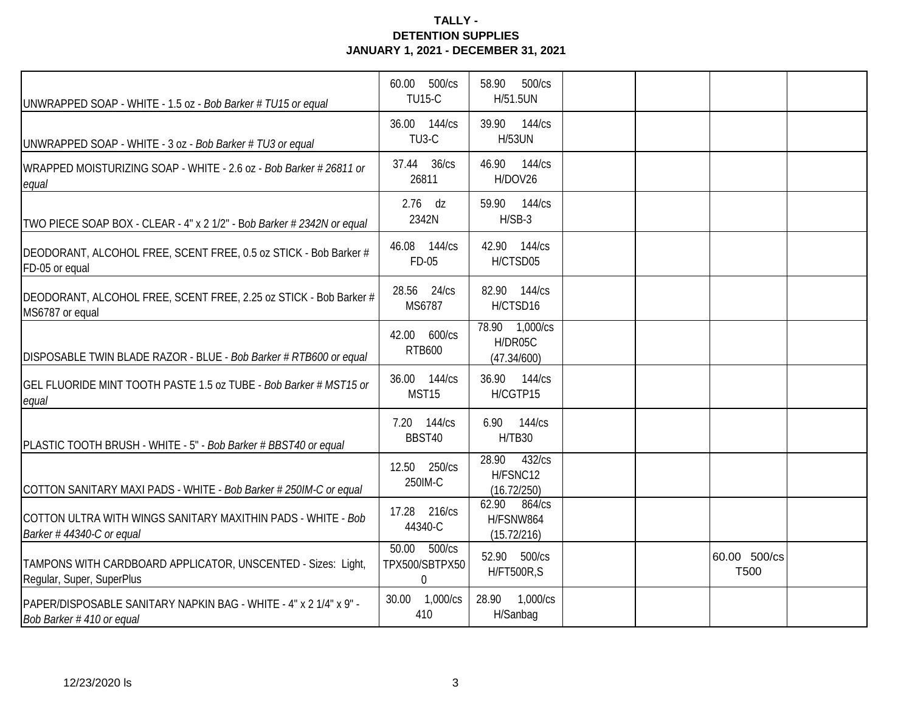| UNWRAPPED SOAP - WHITE - 1.5 oz - Bob Barker # TU15 or equal                                  | 60.00 500/cs<br><b>TU15-C</b>                 | 500/cs<br>58.90<br>H/51.5UN                 |                      |  |
|-----------------------------------------------------------------------------------------------|-----------------------------------------------|---------------------------------------------|----------------------|--|
| UNWRAPPED SOAP - WHITE - 3 oz - Bob Barker # TU3 or equal                                     | 36.00 144/cs<br>TU <sub>3</sub> -C            | 39.90 144/cs<br><b>H/53UN</b>               |                      |  |
| WRAPPED MOISTURIZING SOAP - WHITE - 2.6 oz - Bob Barker # 26811 or<br>equal                   | 37.44 36/cs<br>26811                          | 46.90<br>144/cs<br>H/DOV26                  |                      |  |
| TWO PIECE SOAP BOX - CLEAR - 4" x 2 1/2" - Bob Barker # 2342N or equal                        | $2.76$ dz<br>2342N                            | 59.90 144/cs<br>$H/SB-3$                    |                      |  |
| DEODORANT, ALCOHOL FREE, SCENT FREE, 0.5 oz STICK - Bob Barker #<br>FD-05 or equal            | 46.08 144/cs<br>FD-05                         | 42.90 144/cs<br>H/CTSD05                    |                      |  |
| DEODORANT, ALCOHOL FREE, SCENT FREE, 2.25 oz STICK - Bob Barker #<br>MS6787 or equal          | 28.56 24/cs<br>MS6787                         | 82.90 144/cs<br>H/CTSD16                    |                      |  |
| DISPOSABLE TWIN BLADE RAZOR - BLUE - Bob Barker # RTB600 or equal                             | 42.00 600/cs<br><b>RTB600</b>                 | 78.90 1,000/cs<br>H/DR05C<br>(47.34/600)    |                      |  |
| GEL FLUORIDE MINT TOOTH PASTE 1.5 oz TUBE - Bob Barker # MST15 or<br>equal                    | 36.00 144/cs<br>MST15                         | 36.90 144/cs<br>H/CGTP15                    |                      |  |
| PLASTIC TOOTH BRUSH - WHITE - 5" - Bob Barker # BBST40 or equal                               | 7.20 144/cs<br>BBST40                         | 6.90 144/cs<br>H/TB30                       |                      |  |
| COTTON SANITARY MAXI PADS - WHITE - Bob Barker # 250IM-C or equal                             | 12.50 250/cs<br>250IM-C                       | 28.90<br>432/cs<br>H/FSNC12<br>(16.72/250)  |                      |  |
| COTTON ULTRA WITH WINGS SANITARY MAXITHIN PADS - WHITE - Bob<br>Barker #44340-C or equal      | 17.28 216/cs<br>44340-C                       | 62.90<br>864/cs<br>H/FSNW864<br>(15.72/216) |                      |  |
| TAMPONS WITH CARDBOARD APPLICATOR, UNSCENTED - Sizes: Light,<br>Regular, Super, SuperPlus     | 50.00 500/cs<br>TPX500/SBTPX50<br>$\mathbf 0$ | 52.90 500/cs<br><b>H/FT500R,S</b>           | 60.00 500/cs<br>T500 |  |
| PAPER/DISPOSABLE SANITARY NAPKIN BAG - WHITE - 4" x 2 1/4" x 9" -<br>Bob Barker #410 or equal | 30.00 1,000/cs<br>410                         | 28.90 1,000/cs<br>H/Sanbag                  |                      |  |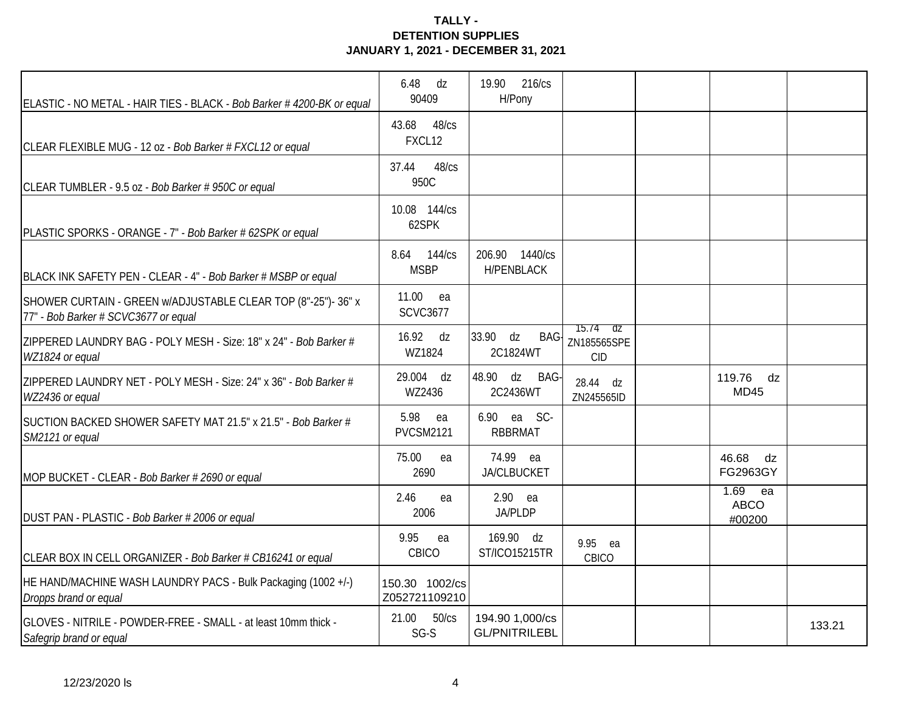| ELASTIC - NO METAL - HAIR TIES - BLACK - Bob Barker #4200-BK or equal                                 | 6.48<br>dz<br>90409             | 216/cs<br>19.90<br>H/Pony               |                                               |                                    |        |
|-------------------------------------------------------------------------------------------------------|---------------------------------|-----------------------------------------|-----------------------------------------------|------------------------------------|--------|
| CLEAR FLEXIBLE MUG - 12 oz - Bob Barker # FXCL12 or equal                                             | 43.68<br>48/cs<br>FXCL12        |                                         |                                               |                                    |        |
| CLEAR TUMBLER - 9.5 oz - Bob Barker # 950C or equal                                                   | 37.44<br>48/cs<br>950C          |                                         |                                               |                                    |        |
| PLASTIC SPORKS - ORANGE - 7" - Bob Barker # 62SPK or equal                                            | 10.08 144/cs<br>62SPK           |                                         |                                               |                                    |        |
| BLACK INK SAFETY PEN - CLEAR - 4" - Bob Barker # MSBP or equal                                        | 8.64<br>144/cs<br><b>MSBP</b>   | 206.90 1440/cs<br><b>H/PENBLACK</b>     |                                               |                                    |        |
| SHOWER CURTAIN - GREEN w/ADJUSTABLE CLEAR TOP (8"-25")- 36" x<br>77" - Bob Barker # SCVC3677 or equal | 11.00<br>ea<br><b>SCVC3677</b>  |                                         |                                               |                                    |        |
| ZIPPERED LAUNDRY BAG - POLY MESH - Size: 18" x 24" - Bob Barker #<br>WZ1824 or equal                  | 16.92 dz<br>WZ1824              | 33.90 dz<br>BAG-<br>2C1824WT            | $75.74$ $\sigma$<br>ZN185565SPE<br><b>CID</b> |                                    |        |
| ZIPPERED LAUNDRY NET - POLY MESH - Size: 24" x 36" - Bob Barker #<br>WZ2436 or equal                  | 29.004 dz<br>WZ2436             | 48.90 dz<br>BAG-<br>2C2436WT            | 28.44 dz<br>ZN245565ID                        | 119.76 dz<br><b>MD45</b>           |        |
| SUCTION BACKED SHOWER SAFETY MAT 21.5" x 21.5" - Bob Barker #<br>SM2121 or equal                      | 5.98<br>ea<br><b>PVCSM2121</b>  | 6.90 ea SC-<br><b>RBBRMAT</b>           |                                               |                                    |        |
| MOP BUCKET - CLEAR - Bob Barker # 2690 or equal                                                       | 75.00<br>ea<br>2690             | 74.99 ea<br><b>JA/CLBUCKET</b>          |                                               | 46.68<br>dz<br>FG2963GY            |        |
| DUST PAN - PLASTIC - Bob Barker # 2006 or equal                                                       | 2.46<br>ea<br>2006              | $2.90$ ea<br><b>JA/PLDP</b>             |                                               | $1.69$ ea<br><b>ABCO</b><br>#00200 |        |
| CLEAR BOX IN CELL ORGANIZER - Bob Barker # CB16241 or equal                                           | 9.95<br>ea<br>CBICO             | 169.90 dz<br><b>ST/ICO15215TR</b>       | 9.95 ea<br>CBICO                              |                                    |        |
| HE HAND/MACHINE WASH LAUNDRY PACS - Bulk Packaging (1002 +/-)<br>Dropps brand or equal                | 150.30 1002/cs<br>Z052721109210 |                                         |                                               |                                    |        |
| GLOVES - NITRILE - POWDER-FREE - SMALL - at least 10mm thick -<br>Safegrip brand or equal             | 21.00 50/cs<br>$SG-S$           | 194.90 1,000/cs<br><b>GL/PNITRILEBL</b> |                                               |                                    | 133.21 |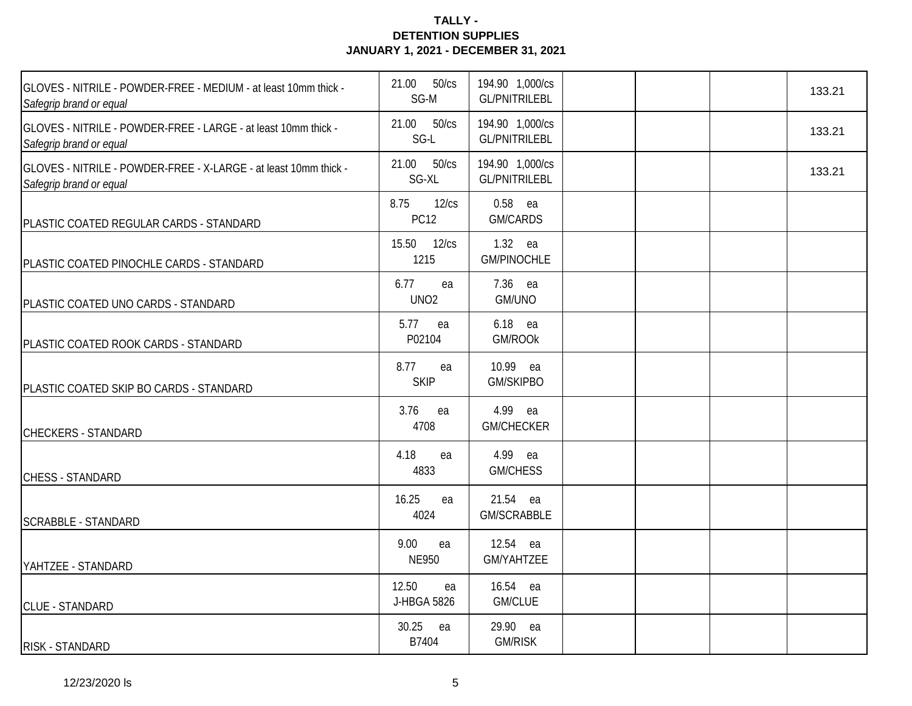| GLOVES - NITRILE - POWDER-FREE - MEDIUM - at least 10mm thick -<br>Safegrip brand or equal          | 21.00<br>50/cs<br>SG-M         | 194.90 1,000/cs<br><b>GL/PNITRILEBL</b> |  | 133.21 |
|-----------------------------------------------------------------------------------------------------|--------------------------------|-----------------------------------------|--|--------|
| GLOVES - NITRILE - POWDER-FREE - LARGE - at least 10mm thick -<br>Safegrip brand or equal           | 21.00 50/cs<br>SG-L            | 194.90 1,000/cs<br><b>GL/PNITRILEBL</b> |  | 133.21 |
| <b>IGLOVES - NITRILE - POWDER-FREE - X-LARGE - at least 10mm thick -</b><br>Safegrip brand or equal | 21.00 50/cs<br>SG-XL           | 194.90 1,000/cs<br><b>GL/PNITRILEBL</b> |  | 133.21 |
| PLASTIC COATED REGULAR CARDS - STANDARD                                                             | 8.75<br>12/cs<br><b>PC12</b>   | $0.58$ ea<br>GM/CARDS                   |  |        |
| PLASTIC COATED PINOCHLE CARDS - STANDARD                                                            | 15.50 12/cs<br>1215            | 1.32 ea<br><b>GM/PINOCHLE</b>           |  |        |
| PLASTIC COATED UNO CARDS - STANDARD                                                                 | 6.77<br>ea<br>UNO <sub>2</sub> | 7.36 ea<br>GM/UNO                       |  |        |
| PLASTIC COATED ROOK CARDS - STANDARD                                                                | 5.77<br>ea<br>P02104           | 6.18 ea<br>GM/ROOK                      |  |        |
| PLASTIC COATED SKIP BO CARDS - STANDARD                                                             | 8.77<br>ea<br><b>SKIP</b>      | 10.99 ea<br><b>GM/SKIPBO</b>            |  |        |
| <b>CHECKERS - STANDARD</b>                                                                          | 3.76<br>ea<br>4708             | 4.99 ea<br><b>GM/CHECKER</b>            |  |        |
| <b>CHESS - STANDARD</b>                                                                             | 4.18<br>ea<br>4833             | 4.99 ea<br><b>GM/CHESS</b>              |  |        |
| <b>SCRABBLE - STANDARD</b>                                                                          | 16.25<br>ea<br>4024            | 21.54 ea<br>GM/SCRABBLE                 |  |        |
| YAHTZEE - STANDARD                                                                                  | 9.00<br>ea<br><b>NE950</b>     | 12.54 ea<br><b>GM/YAHTZEE</b>           |  |        |
| <b>CLUE - STANDARD</b>                                                                              | 12.50<br>ea<br>J-HBGA 5826     | 16.54 ea<br><b>GM/CLUE</b>              |  |        |
| RISK - STANDARD                                                                                     | 30.25<br>ea<br>B7404           | 29.90 ea<br><b>GM/RISK</b>              |  |        |